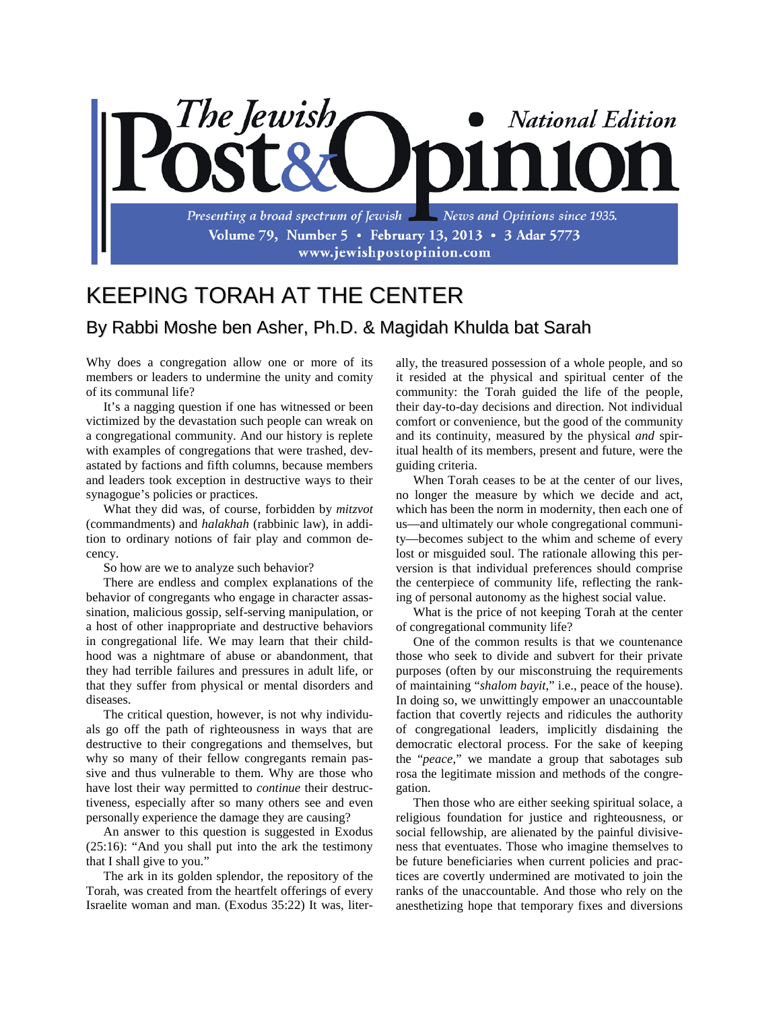

## KEEPING TORAH AT THE CENTER

## By Rabbi Moshe ben Asher, Ph.D. & Magidah Khulda bat Sarah

Why does a congregation allow one or more of its members or leaders to undermine the unity and comity of its communal life?

It's a nagging question if one has witnessed or been victimized by the devastation such people can wreak on a congregational community. And our history is replete with examples of congregations that were trashed, devastated by factions and fifth columns, because members and leaders took exception in destructive ways to their synagogue's policies or practices.

What they did was, of course, forbidden by *mitzvot* (commandments) and *halakhah* (rabbinic law), in addition to ordinary notions of fair play and common decency.

So how are we to analyze such behavior?

There are endless and complex explanations of the behavior of congregants who engage in character assassination, malicious gossip, self-serving manipulation, or a host of other inappropriate and destructive behaviors in congregational life. We may learn that their childhood was a nightmare of abuse or abandonment, that they had terrible failures and pressures in adult life, or that they suffer from physical or mental disorders and diseases.

The critical question, however, is not why individuals go off the path of righteousness in ways that are destructive to their congregations and themselves, but why so many of their fellow congregants remain passive and thus vulnerable to them. Why are those who have lost their way permitted to *continue* their destructiveness, especially after so many others see and even personally experience the damage they are causing?

An answer to this question is suggested in Exodus (25:16): "And you shall put into the ark the testimony that I shall give to you."

The ark in its golden splendor, the repository of the Torah, was created from the heartfelt offerings of every Israelite woman and man. (Exodus 35:22) It was, literally, the treasured possession of a whole people, and so it resided at the physical and spiritual center of the community: the Torah guided the life of the people, their day-to-day decisions and direction. Not individual comfort or convenience, but the good of the community and its continuity, measured by the physical *and* spiritual health of its members, present and future, were the guiding criteria.

When Torah ceases to be at the center of our lives, no longer the measure by which we decide and act, which has been the norm in modernity, then each one of us—and ultimately our whole congregational community—becomes subject to the whim and scheme of every lost or misguided soul. The rationale allowing this perversion is that individual preferences should comprise the centerpiece of community life, reflecting the ranking of personal autonomy as the highest social value.

What is the price of not keeping Torah at the center of congregational community life?

One of the common results is that we countenance those who seek to divide and subvert for their private purposes (often by our misconstruing the requirements of maintaining "*shalom bayit*," i.e., peace of the house). In doing so, we unwittingly empower an unaccountable faction that covertly rejects and ridicules the authority of congregational leaders, implicitly disdaining the democratic electoral process. For the sake of keeping the "*peace*," we mandate a group that sabotages sub rosa the legitimate mission and methods of the congregation.

Then those who are either seeking spiritual solace, a religious foundation for justice and righteousness, or social fellowship, are alienated by the painful divisiveness that eventuates. Those who imagine themselves to be future beneficiaries when current policies and practices are covertly undermined are motivated to join the ranks of the unaccountable. And those who rely on the anesthetizing hope that temporary fixes and diversions